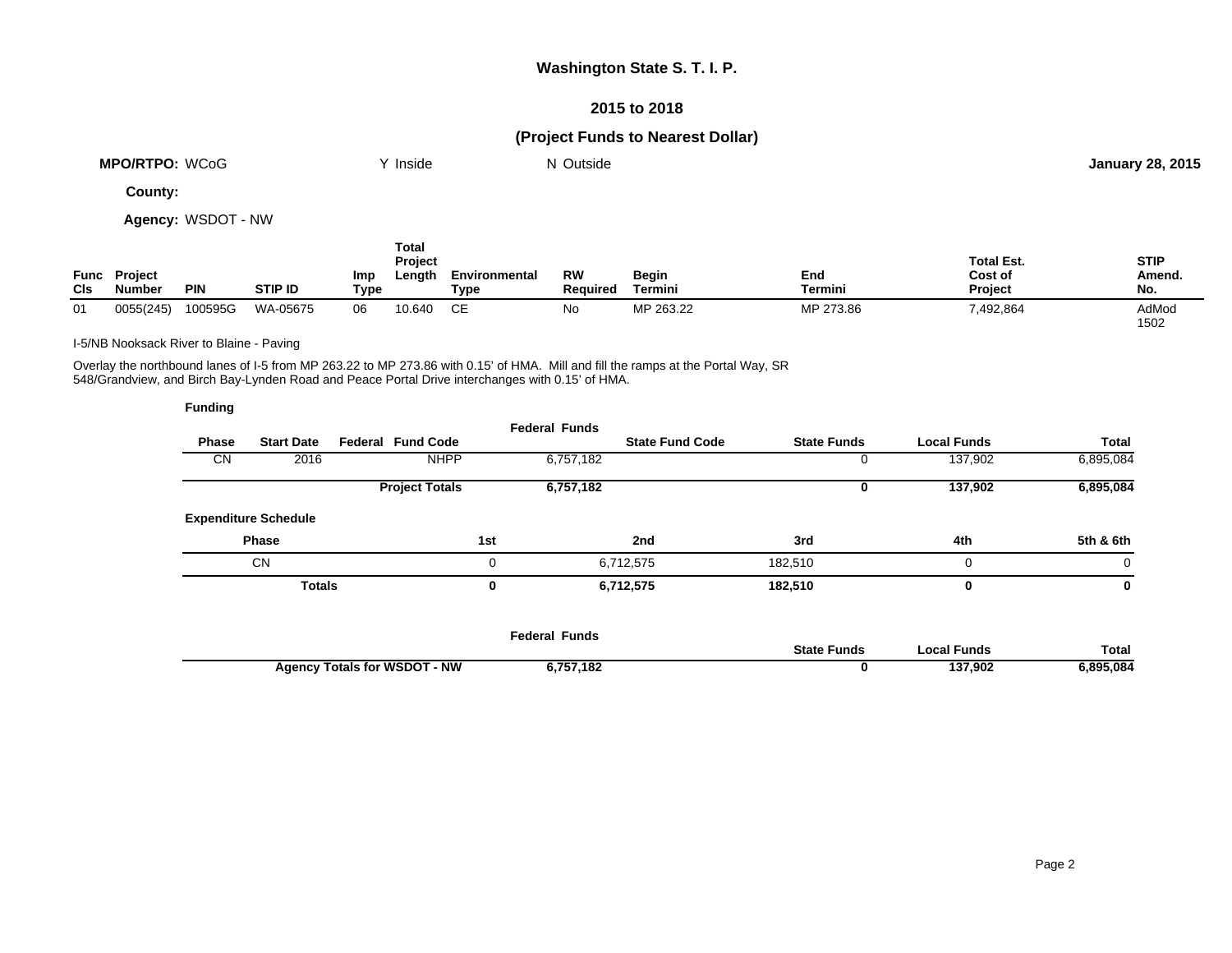## **Washington State S. T. I. P.**

### **2015 to 2018**

# **(Project Funds to Nearest Dollar)**

| <b>MPO/RTPO:</b><br>WCoG | <b>Inside</b> | $\sim$<br>Outside<br>N | <b>January 28, 2015</b> |
|--------------------------|---------------|------------------------|-------------------------|
|                          |               |                        |                         |

**County:**

**Agency:** WSDOT - NW

| Func<br><b>CIs</b> | Project<br><b>Number</b> | <b>PIN</b> | <b>STIP ID</b> | Imp<br>Type | Total<br>Project<br>Length | Environmental<br>Type | RW<br><b>Required</b> | <b>Begin</b><br>Termini | End<br>Termini | <b>Total Est.</b><br>Cost of<br><b>Project</b> | <b>STIP</b><br>Amend.<br>No. |
|--------------------|--------------------------|------------|----------------|-------------|----------------------------|-----------------------|-----------------------|-------------------------|----------------|------------------------------------------------|------------------------------|
| 01                 | 0055(245)                | 100595G    | WA-05675       | 06          | 10.640                     |                       | No                    | MP 263.22               | MP 273.86      | 7,492,864                                      | AdMod<br>1502                |

I-5/NB Nooksack River to Blaine - Paving

Overlay the northbound lanes of I-5 from MP 263.22 to MP 273.86 with 0.15' of HMA. Mill and fill the ramps at the Portal Way, SR 548/Grandview, and Birch Bay-Lynden Road and Peace Portal Drive interchanges with 0.15' of HMA.

| <b>Funding</b> |                             |                          |     |                      |                        |                    |                    |           |
|----------------|-----------------------------|--------------------------|-----|----------------------|------------------------|--------------------|--------------------|-----------|
| Phase          | <b>Start Date</b>           | <b>Federal Fund Code</b> |     | <b>Federal Funds</b> | <b>State Fund Code</b> | <b>State Funds</b> | <b>Local Funds</b> | Total     |
| CN             | 2016                        | <b>NHPP</b>              |     | 6,757,182            |                        | U                  | 137,902            | 6,895,084 |
|                |                             | <b>Project Totals</b>    |     | 6,757,182            |                        | 0                  | 137,902            | 6,895,084 |
|                | <b>Expenditure Schedule</b> |                          |     |                      |                        |                    |                    |           |
|                | Phase                       |                          | 1st |                      | 2nd                    | 3rd                | 4th                | 5th & 6th |
|                | <b>CN</b>                   |                          | 0   |                      | 6,712,575              | 182,510            | $\Omega$           | $\Omega$  |
|                | <b>Totals</b>               |                          | 0   |                      | 6,712,575              | 182,510            | 0                  | 0         |
|                |                             |                          |     |                      |                        |                    |                    |           |
|                |                             |                          |     |                      |                        |                    |                    |           |

|                                     | Federal Funds |                    |             |              |
|-------------------------------------|---------------|--------------------|-------------|--------------|
|                                     |               | <b>State Funds</b> | ocal Funds. | <b>Total</b> |
| <b>Agency Totals for WSDOT - NW</b> | 6,757,182     |                    | 137.902     | 895.084.ز    |